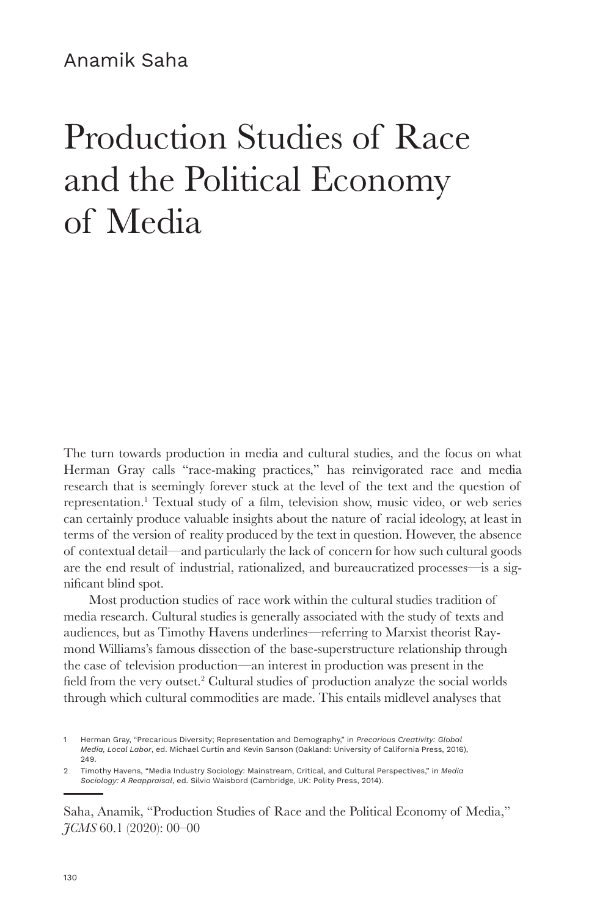Anamik Saha

## Production Studies of Race and the Political Economy of Media

The turn towards production in media and cultural studies, and the focus on what Herman Gray calls "race-making practices," has reinvigorated race and media research that is seemingly forever stuck at the level of the text and the question of representation.<sup>1</sup> Textual study of a film, television show, music video, or web series can certainly produce valuable insights about the nature of racial ideology, at least in terms of the version of reality produced by the text in question. However, the absence of contextual detail—and particularly the lack of concern for how such cultural goods are the end result of industrial, rationalized, and bureaucratized processes—is a significant blind spot.

Most production studies of race work within the cultural studies tradition of media research. Cultural studies is generally associated with the study of texts and audiences, but as Timothy Havens underlines—referring to Marxist theorist Raymond Williams's famous dissection of the base-superstructure relationship through the case of television production—an interest in production was present in the field from the very outset.<sup>2</sup> Cultural studies of production analyze the social worlds through which cultural commodities are made. This entails midlevel analyses that

Saha, Anamik, "Production Studies of Race and the Political Economy of Media," *JCMS* 60.1 (2020): 00–00

<sup>1</sup> Herman Gray, "Precarious Diversity; Representation and Demography," in *Precarious Creativity: Global Media, Local Labor*, ed. Michael Curtin and Kevin Sanson (Oakland: University of California Press, 2016), 249.

<sup>2</sup> Timothy Havens, "Media Industry Sociology: Mainstream, Critical, and Cultural Perspectives," in *Media Sociology: A Reappraisal*, ed. Silvio Waisbord (Cambridge, UK: Polity Press, 2014).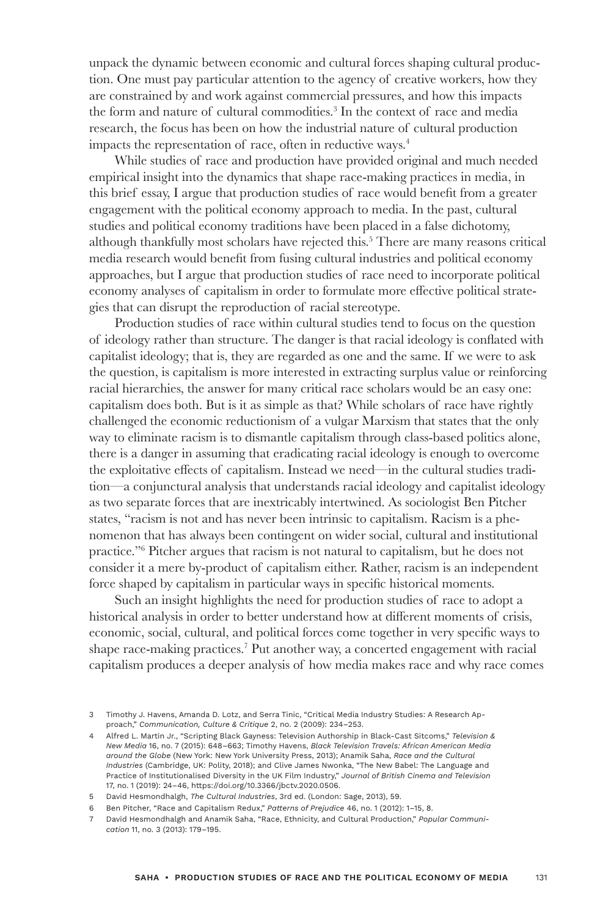unpack the dynamic between economic and cultural forces shaping cultural production. One must pay particular attention to the agency of creative workers, how they are constrained by and work against commercial pressures, and how this impacts the form and nature of cultural commodities.<sup>3</sup> In the context of race and media research, the focus has been on how the industrial nature of cultural production impacts the representation of race, often in reductive ways.<sup>4</sup>

While studies of race and production have provided original and much needed empirical insight into the dynamics that shape race-making practices in media, in this brief essay, I argue that production studies of race would benefit from a greater engagement with the political economy approach to media. In the past, cultural studies and political economy traditions have been placed in a false dichotomy, although thankfully most scholars have rejected this.<sup>5</sup> There are many reasons critical media research would benefit from fusing cultural industries and political economy approaches, but I argue that production studies of race need to incorporate political economy analyses of capitalism in order to formulate more effective political strategies that can disrupt the reproduction of racial stereotype.

Production studies of race within cultural studies tend to focus on the question of ideology rather than structure. The danger is that racial ideology is conflated with capitalist ideology; that is, they are regarded as one and the same. If we were to ask the question, is capitalism is more interested in extracting surplus value or reinforcing racial hierarchies, the answer for many critical race scholars would be an easy one: capitalism does both. But is it as simple as that? While scholars of race have rightly challenged the economic reductionism of a vulgar Marxism that states that the only way to eliminate racism is to dismantle capitalism through class-based politics alone, there is a danger in assuming that eradicating racial ideology is enough to overcome the exploitative effects of capitalism. Instead we need—in the cultural studies tradition—a conjunctural analysis that understands racial ideology and capitalist ideology as two separate forces that are inextricably intertwined. As sociologist Ben Pitcher states, "racism is not and has never been intrinsic to capitalism. Racism is a phenomenon that has always been contingent on wider social, cultural and institutional practice."6 Pitcher argues that racism is not natural to capitalism, but he does not consider it a mere by-product of capitalism either. Rather, racism is an independent force shaped by capitalism in particular ways in specific historical moments.

Such an insight highlights the need for production studies of race to adopt a historical analysis in order to better understand how at different moments of crisis, economic, social, cultural, and political forces come together in very specific ways to shape race-making practices.<sup>7</sup> Put another way, a concerted engagement with racial capitalism produces a deeper analysis of how media makes race and why race comes

<sup>3</sup> Timothy J. Havens, Amanda D. Lotz, and Serra Tinic, "Critical Media Industry Studies: A Research Approach," *Communication, Culture & Critique* 2, no. 2 (2009): 234–253.

<sup>4</sup> Alfred L. Martin Jr., "Scripting Black Gayness: Television Authorship in Black-Cast Sitcoms," *Television & New Media* 16, no. 7 (2015): 648–663; Timothy Havens, *Black Television Travels: African American Media around the Globe* (New York: New York University Press, 2013); Anamik Saha, *Race and the Cultural Industries* (Cambridge, UK: Polity, 2018); and Clive James Nwonka, "The New Babel: The Language and Practice of Institutionalised Diversity in the UK Film Industry," *Journal of British Cinema and Television* 17, no. 1 (2019): 24–46, https://doi.org/10.3366/jbctv.2020.0506.

<sup>5</sup> David Hesmondhalgh, *The Cultural Industries*, 3rd ed. (London: Sage, 2013), 59.

<sup>6</sup> Ben Pitcher, "Race and Capitalism Redux," *Patterns of Prejudice* 46, no. 1 (2012): 1–15, 8.

<sup>7</sup> David Hesmondhalgh and Anamik Saha, "Race, Ethnicity, and Cultural Production," *Popular Communication* 11, no. 3 (2013): 179–195.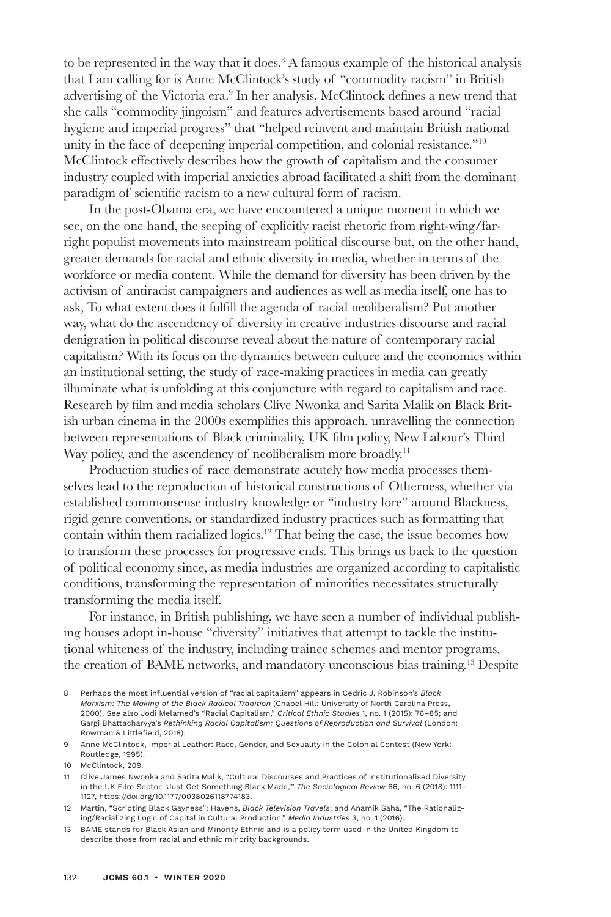to be represented in the way that it does.<sup>8</sup> A famous example of the historical analysis that I am calling for is Anne McClintock's study of "commodity racism" in British advertising of the Victoria era.<sup>9</sup> In her analysis, McClintock defines a new trend that she calls "commodity jingoism" and features advertisements based around "racial hygiene and imperial progress" that "helped reinvent and maintain British national unity in the face of deepening imperial competition, and colonial resistance."10 McClintock effectively describes how the growth of capitalism and the consumer industry coupled with imperial anxieties abroad facilitated a shift from the dominant paradigm of scientific racism to a new cultural form of racism.

In the post-Obama era, we have encountered a unique moment in which we see, on the one hand, the seeping of explicitly racist rhetoric from right-wing/farright populist movements into mainstream political discourse but, on the other hand, greater demands for racial and ethnic diversity in media, whether in terms of the workforce or media content. While the demand for diversity has been driven by the activism of antiracist campaigners and audiences as well as media itself, one has to ask, To what extent does it fulfill the agenda of racial neoliberalism? Put another way, what do the ascendency of diversity in creative industries discourse and racial denigration in political discourse reveal about the nature of contemporary racial capitalism? With its focus on the dynamics between culture and the economics within an institutional setting, the study of race-making practices in media can greatly illuminate what is unfolding at this conjuncture with regard to capitalism and race. Research by film and media scholars Clive Nwonka and Sarita Malik on Black British urban cinema in the 2000s exemplifies this approach, unravelling the connection between representations of Black criminality, UK film policy, New Labour's Third Way policy, and the ascendency of neoliberalism more broadly.<sup>11</sup>

Production studies of race demonstrate acutely how media processes themselves lead to the reproduction of historical constructions of Otherness, whether via established commonsense industry knowledge or "industry lore" around Blackness, rigid genre conventions, or standardized industry practices such as formatting that contain within them racialized logics.12 That being the case, the issue becomes how to transform these processes for progressive ends. This brings us back to the question of political economy since, as media industries are organized according to capitalistic conditions, transforming the representation of minorities necessitates structurally transforming the media itself.

For instance, in British publishing, we have seen a number of individual publishing houses adopt in-house "diversity" initiatives that attempt to tackle the institutional whiteness of the industry, including trainee schemes and mentor programs, the creation of BAME networks, and mandatory unconscious bias training.13 Despite

11  Clive James Nwonka and Sarita Malik, "Cultural Discourses and Practices of Institutionalised Diversity in the UK Film Sector: 'Just Get Something Black Made,'" *The Sociological Review* 66, no. 6 (2018): 1111– 1127, https://doi.org/10.1177/0038026118774183.

<sup>8</sup> Perhaps the most influential version of "racial capitalism" appears in Cedric J. Robinson's *Black Marxism: The Making of the Black Radical Tradition* (Chapel Hill: University of North Carolina Press, 2000). See also Jodi Melamed's "Racial Capitalism," *Critical Ethnic Studies* 1, no. 1 (2015): 76–85; and Gargi Bhattacharyya's *Rethinking Racial Capitalism: Questions of Reproduction and Survival* (London: Rowman & Littlefield, 2018).

<sup>9</sup> Anne McClintock, Imperial Leather: Race, Gender, and Sexuality in the Colonial Contest (New York: Routledge, 1995).

<sup>10</sup> McClintock, 209.

<sup>12</sup> Martin, "Scripting Black Gayness"; Havens, *Black Television Travels*; and Anamik Saha, "The Rationalizing/Racializing Logic of Capital in Cultural Production," *Media Industries* 3, no. 1 (2016).

<sup>13</sup> BAME stands for Black Asian and Minority Ethnic and is a policy term used in the United Kingdom to describe those from racial and ethnic minority backgrounds.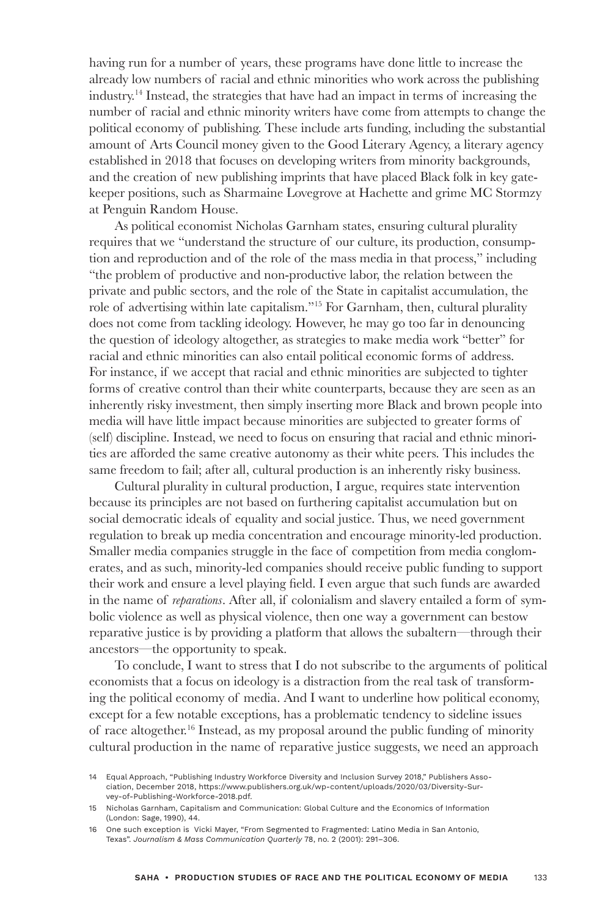having run for a number of years, these programs have done little to increase the already low numbers of racial and ethnic minorities who work across the publishing industry.14 Instead, the strategies that have had an impact in terms of increasing the number of racial and ethnic minority writers have come from attempts to change the political economy of publishing. These include arts funding, including the substantial amount of Arts Council money given to the Good Literary Agency, a literary agency established in 2018 that focuses on developing writers from minority backgrounds, and the creation of new publishing imprints that have placed Black folk in key gatekeeper positions, such as Sharmaine Lovegrove at Hachette and grime MC Stormzy at Penguin Random House.

As political economist Nicholas Garnham states, ensuring cultural plurality requires that we "understand the structure of our culture, its production, consumption and reproduction and of the role of the mass media in that process," including "the problem of productive and non-productive labor, the relation between the private and public sectors, and the role of the State in capitalist accumulation, the role of advertising within late capitalism."15 For Garnham, then, cultural plurality does not come from tackling ideology. However, he may go too far in denouncing the question of ideology altogether, as strategies to make media work "better" for racial and ethnic minorities can also entail political economic forms of address. For instance, if we accept that racial and ethnic minorities are subjected to tighter forms of creative control than their white counterparts, because they are seen as an inherently risky investment, then simply inserting more Black and brown people into media will have little impact because minorities are subjected to greater forms of (self) discipline. Instead, we need to focus on ensuring that racial and ethnic minorities are afforded the same creative autonomy as their white peers. This includes the same freedom to fail; after all, cultural production is an inherently risky business.

Cultural plurality in cultural production, I argue, requires state intervention because its principles are not based on furthering capitalist accumulation but on social democratic ideals of equality and social justice. Thus, we need government regulation to break up media concentration and encourage minority-led production. Smaller media companies struggle in the face of competition from media conglomerates, and as such, minority-led companies should receive public funding to support their work and ensure a level playing field. I even argue that such funds are awarded in the name of *reparations*. After all, if colonialism and slavery entailed a form of symbolic violence as well as physical violence, then one way a government can bestow reparative justice is by providing a platform that allows the subaltern—through their ancestors—the opportunity to speak.

To conclude, I want to stress that I do not subscribe to the arguments of political economists that a focus on ideology is a distraction from the real task of transforming the political economy of media. And I want to underline how political economy, except for a few notable exceptions, has a problematic tendency to sideline issues of race altogether.16 Instead, as my proposal around the public funding of minority cultural production in the name of reparative justice suggests, we need an approach

<sup>14</sup> Equal Approach, "Publishing Industry Workforce Diversity and Inclusion Survey 2018," Publishers Association, December 2018, https://www.publishers.org.uk/wp-content/uploads/2020/03/Diversity-Survey-of-Publishing-Workforce-2018.pdf.

<sup>15</sup> Nicholas Garnham, Capitalism and Communication: Global Culture and the Economics of Information (London: Sage, 1990), 44.

<sup>16</sup> One such exception is Vicki Mayer, "From Segmented to Fragmented: Latino Media in San Antonio, Texas". *Journalism & Mass Communication Quarterly* 78, no. 2 (2001): 291–306.